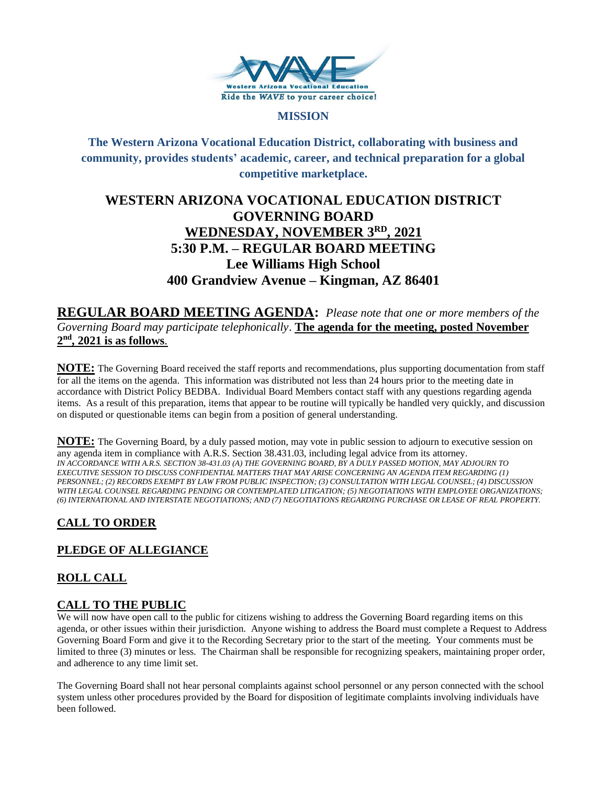

#### **MISSION**

**The Western Arizona Vocational Education District, collaborating with business and community, provides students' academic, career, and technical preparation for a global competitive marketplace.**

# **WESTERN ARIZONA VOCATIONAL EDUCATION DISTRICT GOVERNING BOARD WEDNESDAY, NOVEMBER 3RD , 2021 5:30 P.M. – REGULAR BOARD MEETING Lee Williams High School 400 Grandview Avenue – Kingman, AZ 86401**

**REGULAR BOARD MEETING AGENDA:** *Please note that one or more members of the Governing Board may participate telephonically*. **The agenda for the meeting, posted November 2 nd , 2021 is as follows**.

**NOTE:** The Governing Board received the staff reports and recommendations, plus supporting documentation from staff for all the items on the agenda. This information was distributed not less than 24 hours prior to the meeting date in accordance with District Policy BEDBA. Individual Board Members contact staff with any questions regarding agenda items. As a result of this preparation, items that appear to be routine will typically be handled very quickly, and discussion on disputed or questionable items can begin from a position of general understanding.

**NOTE:** The Governing Board, by a duly passed motion, may vote in public session to adjourn to executive session on any agenda item in compliance with A.R.S. Section 38.431.03, including legal advice from its attorney. *IN ACCORDANCE WITH A.R.S. SECTION 38-431.03 (A) THE GOVERNING BOARD, BY A DULY PASSED MOTION, MAY ADJOURN TO EXECUTIVE SESSION TO DISCUSS CONFIDENTIAL MATTERS THAT MAY ARISE CONCERNING AN AGENDA ITEM REGARDING (1) PERSONNEL; (2) RECORDS EXEMPT BY LAW FROM PUBLIC INSPECTION; (3) CONSULTATION WITH LEGAL COUNSEL; (4) DISCUSSION WITH LEGAL COUNSEL REGARDING PENDING OR CONTEMPLATED LITIGATION; (5) NEGOTIATIONS WITH EMPLOYEE ORGANIZATIONS; (6) INTERNATIONAL AND INTERSTATE NEGOTIATIONS; AND (7) NEGOTIATIONS REGARDING PURCHASE OR LEASE OF REAL PROPERTY.*

# **CALL TO ORDER**

# **PLEDGE OF ALLEGIANCE**

# **ROLL CALL**

# **CALL TO THE PUBLIC**

We will now have open call to the public for citizens wishing to address the Governing Board regarding items on this agenda, or other issues within their jurisdiction. Anyone wishing to address the Board must complete a Request to Address Governing Board Form and give it to the Recording Secretary prior to the start of the meeting. Your comments must be limited to three (3) minutes or less. The Chairman shall be responsible for recognizing speakers, maintaining proper order, and adherence to any time limit set.

The Governing Board shall not hear personal complaints against school personnel or any person connected with the school system unless other procedures provided by the Board for disposition of legitimate complaints involving individuals have been followed.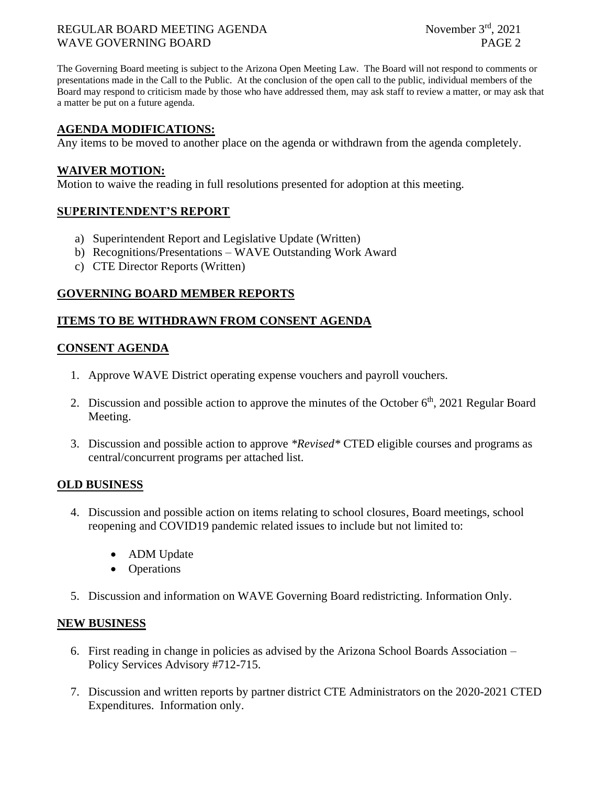#### REGULAR BOARD MEETING AGENDA WAVE GOVERNING BOARD **PAGE 2**

The Governing Board meeting is subject to the Arizona Open Meeting Law. The Board will not respond to comments or presentations made in the Call to the Public. At the conclusion of the open call to the public, individual members of the Board may respond to criticism made by those who have addressed them, may ask staff to review a matter, or may ask that a matter be put on a future agenda.

### **AGENDA MODIFICATIONS:**

Any items to be moved to another place on the agenda or withdrawn from the agenda completely.

#### **WAIVER MOTION:**

Motion to waive the reading in full resolutions presented for adoption at this meeting.

# **SUPERINTENDENT'S REPORT**

- a) Superintendent Report and Legislative Update (Written)
- b) Recognitions/Presentations WAVE Outstanding Work Award
- c) CTE Director Reports (Written)

# **GOVERNING BOARD MEMBER REPORTS**

#### **ITEMS TO BE WITHDRAWN FROM CONSENT AGENDA**

#### **CONSENT AGENDA**

- 1. Approve WAVE District operating expense vouchers and payroll vouchers.
- 2. Discussion and possible action to approve the minutes of the October  $6<sup>th</sup>$ , 2021 Regular Board Meeting.
- 3. Discussion and possible action to approve *\*Revised\** CTED eligible courses and programs as central/concurrent programs per attached list.

# **OLD BUSINESS**

- 4. Discussion and possible action on items relating to school closures, Board meetings, school reopening and COVID19 pandemic related issues to include but not limited to:
	- ADM Update
	- Operations
- 5. Discussion and information on WAVE Governing Board redistricting. Information Only.

#### **NEW BUSINESS**

- 6. First reading in change in policies as advised by the Arizona School Boards Association Policy Services Advisory #712-715.
- 7. Discussion and written reports by partner district CTE Administrators on the 2020-2021 CTED Expenditures. Information only.